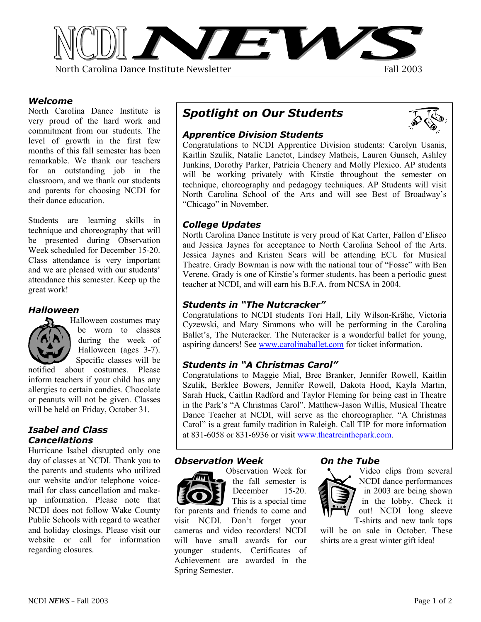

### *Welcome*

North Carolina Dance Institute is very proud of the hard work and commitment from our students. The level of growth in the first few months of this fall semester has been remarkable. We thank our teachers for an outstanding job in the classroom, and we thank our students and parents for choosing NCDI for their dance education.

Students are learning skills in technique and choreography that will be presented during Observation Week scheduled for December 15-20. Class attendance is very important and we are pleased with our students' attendance this semester. Keep up the great work!

### *Halloween*



Halloween costumes may be worn to classes during the week of Halloween (ages 3-7). Specific classes will be

notified about costumes. Please inform teachers if your child has any allergies to certain candies. Chocolate or peanuts will not be given. Classes will be held on Friday, October 31.

# *Isabel and Class Cancellations*

Hurricane Isabel disrupted only one day of classes at NCDI. Thank you to the parents and students who utilized our website and/or telephone voicemail for class cancellation and makeup information. Please note that NCDI does not follow Wake County Public Schools with regard to weather and holiday closings. Please visit our website or call for information regarding closures.

# *Spotlight on Our Students*

# *Apprentice Division Students*

Congratulations to NCDI Apprentice Division students: Carolyn Usanis, Kaitlin Szulik, Natalie Lanctot, Lindsey Matheis, Lauren Gunsch, Ashley Junkins, Dorothy Parker, Patricia Chenery and Molly Plexico. AP students will be working privately with Kirstie throughout the semester on technique, choreography and pedagogy techniques. AP Students will visit North Carolina School of the Arts and will see Best of Broadway's "Chicago" in November.

# *College Updates*

North Carolina Dance Institute is very proud of Kat Carter, Fallon d'Eliseo and Jessica Jaynes for acceptance to North Carolina School of the Arts. Jessica Jaynes and Kristen Sears will be attending ECU for Musical Theatre. Grady Bowman is now with the national tour of "Fosse" with Ben Verene. Grady is one of Kirstie's former students, has been a periodic guest teacher at NCDI, and will earn his B.F.A. from NCSA in 2004.

# *Students in "The Nutcracker"*

Congratulations to NCDI students Tori Hall, Lily Wilson-Krähe, Victoria Cyzewski, and Mary Simmons who will be performing in the Carolina Ballet's, The Nutcracker. The Nutcracker is a wonderful ballet for young, aspiring dancers! See [www.carolinaballet.com](http://www.carolinaballet.com/) for ticket information.

# *Students in "A Christmas Carol"*

Congratulations to Maggie Mial, Bree Branker, Jennifer Rowell, Kaitlin Szulik, Berklee Bowers, Jennifer Rowell, Dakota Hood, Kayla Martin, Sarah Huck, Caitlin Radford and Taylor Fleming for being cast in Theatre in the Park's "A Christmas Carol". Matthew-Jason Willis, Musical Theatre Dance Teacher at NCDI, will serve as the choreographer. "A Christmas Carol" is a great family tradition in Raleigh. Call TIP for more information at 831-6058 or 831-6936 or visit [www.theatreinthepark.com.](http://www.theatreinthepark.com/) 

## *Observation Week*

visit NCDI. Don't forget your cameras and video recorders! NCDI will have small awards for our younger students. Certificates of Achievement are awarded in the



Spring Semester.

#### Observation Week for the fall semester is



*On the Tube* 

Video clips from several NCDI dance performances in 2003 are being shown in the lobby. Check it out! NCDI long sleeve T-shirts and new tank tops

will be on sale in October. These shirts are a great winter gift idea!